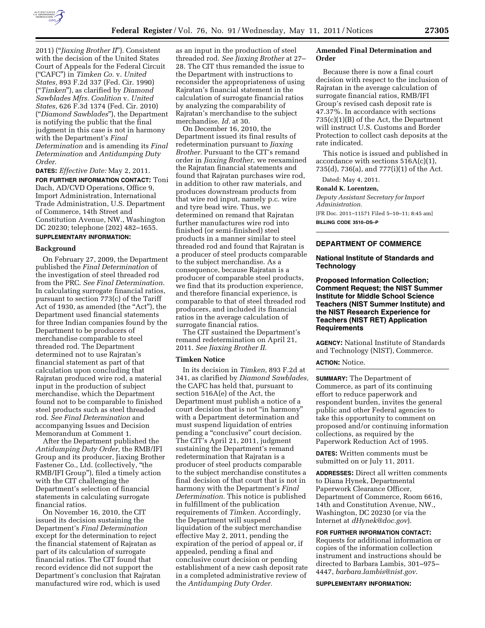

2011) (''*Jiaxing Brother II*''). Consistent with the decision of the United States Court of Appeals for the Federal Circuit (''CAFC'') in *Timken Co.* v. *United States,* 893 F.2d 337 (Fed. Cir. 1990) (''*Timken*''), as clarified by *Diamond Sawblades Mfrs. Coalition* v. *United States,* 626 F.3d 1374 (Fed. Cir. 2010) (''*Diamond Sawblades*''), the Department is notifying the public that the final judgment in this case is not in harmony with the Department's *Final Determination* and is amending its *Final Determination* and *Antidumping Duty Order.* 

**DATES:** *Effective Date:* May 2, 2011.

**FOR FURTHER INFORMATION CONTACT:** Toni Dach, AD/CVD Operations, Office 9, Import Administration, International Trade Administration, U.S. Department of Commerce, 14th Street and Constitution Avenue, NW., Washington DC 20230; telephone (202) 482–1655. **SUPPLEMENTARY INFORMATION:** 

#### **Background**

On February 27, 2009, the Department published the *Final Determination* of the investigation of steel threaded rod from the PRC. *See Final Determination.*  In calculating surrogate financial ratios, pursuant to section 773(c) of the Tariff Act of 1930, as amended (the "Act"), the Department used financial statements for three Indian companies found by the Department to be producers of merchandise comparable to steel threaded rod. The Department determined not to use Rajratan's financial statement as part of that calculation upon concluding that Rajratan produced wire rod, a material input in the production of subject merchandise, which the Department found not to be comparable to finished steel products such as steel threaded rod. *See Final Determination* and accompanying Issues and Decision Memorandum at Comment 1.

After the Department published the *Antidumping Duty Order,* the RMB/IFI Group and its producer, Jiaxing Brother Fastener Co., Ltd. (collectively, ''the RMB/IFI Group''), filed a timely action with the CIT challenging the Department's selection of financial statements in calculating surrogate financial ratios.

On November 16, 2010, the CIT issued its decision sustaining the Department's *Final Determination*  except for the determination to reject the financial statement of Rajratan as part of its calculation of surrogate financial ratios. The CIT found that record evidence did not support the Department's conclusion that Rajratan manufactured wire rod, which is used

as an input in the production of steel threaded rod. *See Jiaxing Brother* at 27– 28. The CIT thus remanded the issue to the Department with instructions to reconsider the appropriateness of using Rajratan's financial statement in the calculation of surrogate financial ratios by analyzing the comparability of Rajratan's merchandise to the subject merchandise. *Id.* at 30.

On December 16, 2010, the Department issued its final results of redetermination pursuant to *Jiaxing Brother.* Pursuant to the CIT's remand order in *Jiaxing Brother,* we reexamined the Rajratan financial statements and found that Rajratan purchases wire rod, in addition to other raw materials, and produces downstream products from that wire rod input, namely p.c. wire and tyre bead wire. Thus, we determined on remand that Rajratan further manufactures wire rod into finished (or semi-finished) steel products in a manner similar to steel threaded rod and found that Rajratan is a producer of steel products comparable to the subject merchandise. As a consequence, because Rajratan is a producer of comparable steel products, we find that its production experience, and therefore financial experience, is comparable to that of steel threaded rod producers, and included its financial ratios in the average calculation of surrogate financial ratios.

The CIT sustained the Department's remand redetermination on April 21, 2011. *See Jiaxing Brother II.* 

#### **Timken Notice**

In its decision in *Timken,* 893 F.2d at 341, as clarified by *Diamond Sawblades,*  the CAFC has held that, pursuant to section 516A(e) of the Act, the Department must publish a notice of a court decision that is not "in harmony" with a Department determination and must suspend liquidation of entries pending a ''conclusive'' court decision. The CIT's April 21, 2011, judgment sustaining the Department's remand redetermination that Rajratan is a producer of steel products comparable to the subject merchandise constitutes a final decision of that court that is not in harmony with the Department's *Final Determination.* This notice is published in fulfillment of the publication requirements of *Timken.* Accordingly, the Department will suspend liquidation of the subject merchandise effective May 2, 2011, pending the expiration of the period of appeal or, if appealed, pending a final and conclusive court decision or pending establishment of a new cash deposit rate in a completed administrative review of the *Antidumping Duty Order.* 

# **Amended Final Determination and Order**

Because there is now a final court decision with respect to the inclusion of Rajratan in the average calculation of surrogate financial ratios, RMB/IFI Group's revised cash deposit rate is 47.37%. In accordance with sections 735(c)(1)(B) of the Act, the Department will instruct U.S. Customs and Border Protection to collect cash deposits at the rate indicated.

This notice is issued and published in accordance with sections  $516A(c)(1)$ , 735(d), 736(a), and 777(i)(1) of the Act.

Dated: May 4, 2011.

#### **Ronald K. Lorentzen,**

*Deputy Assistant Secretary for Import Administration.*  [FR Doc. 2011–11571 Filed 5–10–11; 8:45 am] **BILLING CODE 3510–DS–P** 

# **DEPARTMENT OF COMMERCE**

# **National Institute of Standards and Technology**

**Proposed Information Collection; Comment Request; the NIST Summer Institute for Middle School Science Teachers (NIST Summer Institute) and the NIST Research Experience for Teachers (NIST RET) Application Requirements** 

**AGENCY:** National Institute of Standards and Technology (NIST), Commerce.

# **ACTION:** Notice.

**SUMMARY:** The Department of Commerce, as part of its continuing effort to reduce paperwork and respondent burden, invites the general public and other Federal agencies to take this opportunity to comment on proposed and/or continuing information collections, as required by the Paperwork Reduction Act of 1995.

**DATES:** Written comments must be submitted on or July 11, 2011.

**ADDRESSES:** Direct all written comments to Diana Hynek, Departmental Paperwork Clearance Officer, Department of Commerce, Room 6616, 14th and Constitution Avenue, NW., Washington, DC 20230 (or via the Internet at *[dHynek@doc.gov](mailto:dHynek@doc.gov)*).

# **FOR FURTHER INFORMATION CONTACT:**

Requests for additional information or copies of the information collection instrument and instructions should be directed to Barbara Lambis, 301–975– 4447, *[barbara.lambis@nist.gov](mailto:barbara.lambis@nist.gov)*.

**SUPPLEMENTARY INFORMATION:**